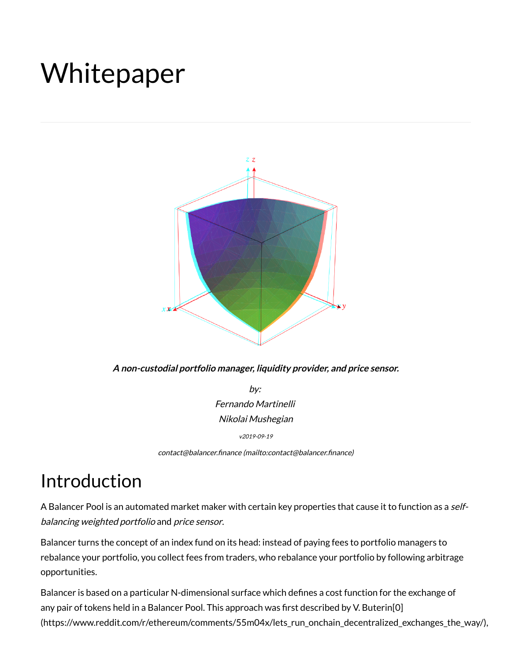# Whitepaper



**A non-custodial portfolio manager, liquidity provider, and price sensor.**

by: Fernando Martinelli Nikolai Mushegian

v2019-09-19

contact@balancer.finance (mailto:contact@balancer.finance)

# <span id="page-0-0"></span>Introduction

A Balancer Pool is an automated market maker with certain key properties that cause it to function as a selfbalancing weighted portfolio and price sensor.

Balancer turns the concept of an index fund on its head: instead of paying fees to portfolio managers to rebalance your portfolio, you collect fees from traders, who rebalance your portfolio by following arbitrage opportunities.

Balancer is based on a particular N-dimensional surface which defines a cost function for the exchange of any pair of tokens held in a Balancer Pool. This approach was first described by V. Buterin[0] [\(https://www.reddit.com/r/ethereum/comments/55m04x/lets\\_run\\_onchain\\_decentralized\\_exchanges\\_the\\_way/\),](https://www.reddit.com/r/ethereum/comments/55m04x/lets_run_onchain_decentralized_exchanges_the_way/)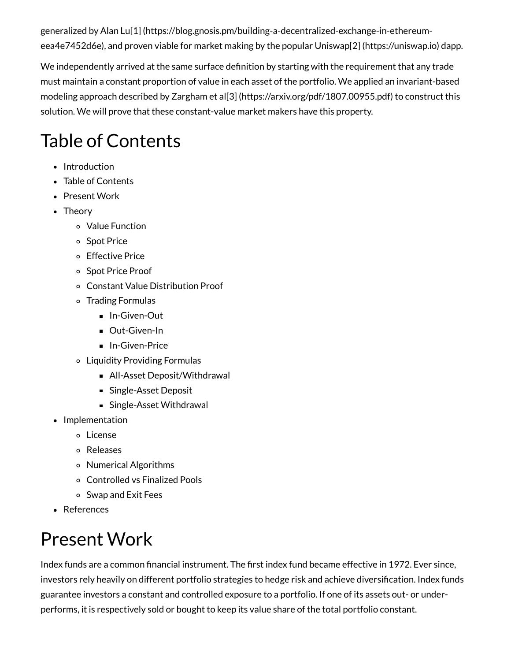generalized by Alan Lu[1] [\(https://blog.gnosis.pm/building-a-decentralized-exchange-in-ethereum](https://blog.gnosis.pm/building-a-decentralized-exchange-in-ethereum-eea4e7452d6e)eea4e7452d6e), and proven viable for market making by the popular Uniswap[2] [\(https://uniswap.io\)](https://uniswap.io/) dapp.

We independently arrived at the same surface definition by starting with the requirement that any trade must maintain a constant proportion of value in each asset of the portfolio. We applied an invariant-based modeling approach described by Zargham et al[3] [\(https://arxiv.org/pdf/1807.00955.pdf\)](https://arxiv.org/pdf/1807.00955.pdf) to construct this solution. We will prove that these constant-value market makers have this property.

# <span id="page-1-0"></span>Table of Contents

- [Introduction](#page-0-0)
- Table of [Contents](#page-1-0)
- [Present](#page-1-1) Work
- [Theory](#page-2-0)
	- Value [Function](#page-2-1)
	- o Spot [Price](#page-2-2)
	- [Effective](#page-3-0) Price
	- o Spot Price [Proof](#page-3-1)
	- Constant Value [Distribution](#page-4-0) Proof
	- Trading [Formulas](#page-5-0)
		- **[In-Given-Out](#page-6-0)**
		- **Dut-Given-In**
		- **[In-Given-Price](#page-6-1)**
	- Liquidity [Providing](#page-7-0) Formulas
		- All-Asset Deposit/Withdrawal
		- [Single-Asset](#page-8-0) Deposit
		- [Single-Asset](#page-9-0) Withdrawal
- [Implementation](#page-9-1)
	- [License](#page-9-2)
	- [Releases](#page-9-3)
	- Numerical [Algorithms](#page-9-4)
	- [Controlled](#page-10-0) vs Finalized Pools
	- Swap and Exit Fees
- [References](#page-10-1)

# <span id="page-1-1"></span>Present Work

Index funds are a common financial instrument. The first index fund became effective in 1972. Ever since, investors rely heavily on different portfolio strategies to hedge risk and achieve diversification. Index funds guarantee investors a constant and controlled exposure to a portfolio. If one of its assets out- or underperforms, it is respectively sold or bought to keep its value share of the total portfolio constant.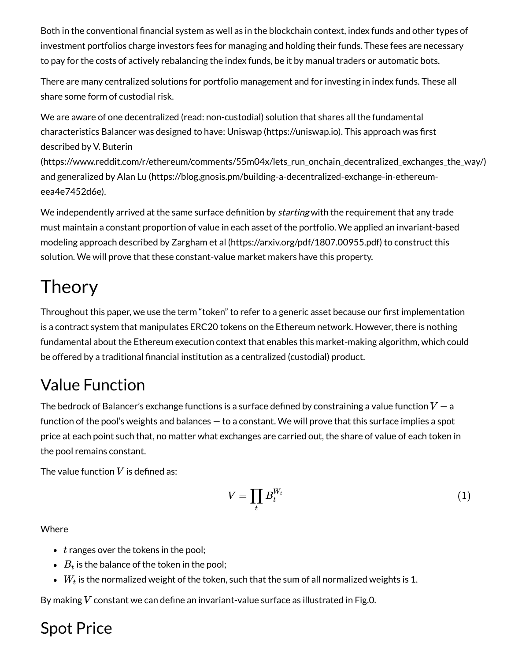Both in the conventional financial system as well as in the blockchain context, index funds and other types of investment portfolios charge investors fees for managing and holding their funds. These fees are necessary to pay for the costs of actively rebalancing the index funds, be it by manual traders or automatic bots.

There are many centralized solutions for portfolio management and for investing in index funds. These all share some form of custodial risk.

We are aware of one decentralized (read: non-custodial) solution that shares all the fundamental characteristics Balancer was designed to have: Uniswap [\(https://uniswap.io\)](https://uniswap.io/). This approach was first described by V. Buterin

(https://www.reddit.com/r/ethereum/comments/55m04x/lets run onchain decentralized exchanges the way/) and generalized by Alan Lu [\(https://blog.gnosis.pm/building-a-decentralized-exchange-in-ethereum](https://blog.gnosis.pm/building-a-decentralized-exchange-in-ethereum-eea4e7452d6e)eea4e7452d6e).

We independently arrived at the same surface definition by *starting* with the requirement that any trade must maintain a constant proportion of value in each asset of the portfolio. We applied an invariant-based modeling approach described by Zargham et al [\(https://arxiv.org/pdf/1807.00955.pdf\)](https://arxiv.org/pdf/1807.00955.pdf) to construct this solution. We will prove that these constant-value market makers have this property.

# <span id="page-2-0"></span>**Theory**

Throughout this paper, we use the term "token" to refer to a generic asset because our first implementation is a contract system that manipulates ERC20 tokens on the Ethereum network. However, there is nothing fundamental about the Ethereum execution context that enables this market-making algorithm, which could be offered by a traditional financial institution as a centralized (custodial) product.

### <span id="page-2-1"></span>Value Function

The bedrock of Balancer's exchange functions is a surface defined by constraining a value function  $V-\mathsf{a}$ function of the pool's weights and balances — to a constant. We will prove that this surface implies a spot price at each point such that, no matter what exchanges are carried out, the share of value of each token in the pool remains constant.

The value function  $V$  is defined as:

$$
V = \prod_t B_t^{W_t} \tag{1}
$$

Where

- $t$  ranges over the tokens in the pool;
- $B_t$  is the balance of the token in the pool;
- $W_t$  is the normalized weight of the token, such that the sum of all normalized weights is 1.

By making  $V$  constant we can define an invariant-value surface as illustrated in Fig.0.

#### <span id="page-2-2"></span>Spot Price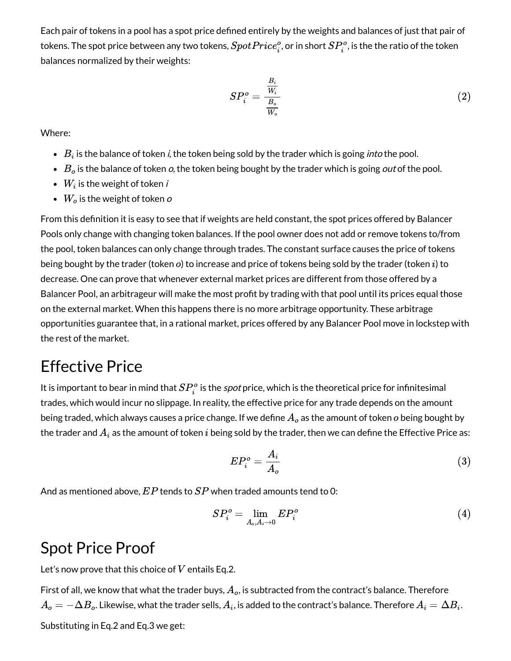Each pair of tokens in a pool has a spot price defined entirely by the weights and balances of just that pair of tokens. The spot price between any two tokens,  $SpotPrice^o_i,$  or in short  $SP^o_i$ , is the the ratio of the token balances normalized by their weights: i

$$
SP_i^o = \frac{\frac{B_i}{W_i}}{\frac{B_o}{W_o}}
$$
 (2)

Where:

- $B_i$  is the balance of token  $\it i$ , the token being sold by the trader which is going  $\it into$  the pool.
- $B_o$  is the balance of token  $o$ , the token being bought by the trader which is going  $\emph{out}$  of the pool.
- $W_i$  is the weight of token  $i$
- $W_o$  is the weight of token  $o$

From this definition it is easy to see that if weights are held constant, the spot prices offered by Balancer Pools only change with changing token balances. If the pool owner does not add or remove tokens to/from the pool, token balances can only change through trades. The constant surface causes the price of tokens being bought by the trader (token  $o$ ) to increase and price of tokens being sold by the trader (token  $i$ ) to decrease. One can prove that whenever external market prices are different from those offered by a Balancer Pool, an arbitrageur will make the most profit by trading with that pool until its prices equal those on the external market. When this happens there is no more arbitrage opportunity. These arbitrage opportunities guarantee that, in a rational market, prices offered by any Balancer Pool move in lockstep with the rest of the market.

#### <span id="page-3-0"></span>Effective Price

It is important to bear in mind that  $SP_i^o$  is the *spot* price, which is the theoretical price for infinitesimal trades, which would incur no slippage. In reality, the effective price for any trade depends on the amount being traded, which always causes a price change. If we define  $A_o$  as the amount of token  $o$  being bought by the trader and  $A_i$  as the amount of token  $i$  being sold by the trader, then we can define the Effective Price as: i

$$
EP_i^o = \frac{A_i}{A_o} \tag{3}
$$

And as mentioned above,  $EP$  tends to  $SP$  when traded amounts tend to 0:

$$
SP_i^o = \lim_{A_o, A_i \to 0} EP_i^o \tag{4}
$$

#### <span id="page-3-1"></span>Spot Price Proof

Let's now prove that this choice of  $V$  entails Eq.2.

First of all, we know that what the trader buys,  $A_o$ , is subtracted from the contract's balance. Therefore  $A_o=-\Delta B_o.$  Likewise, what the trader sells,  $A_i$ , is added to the contract's balance. Therefore  $A_i=\Delta B_i.$ Substituting in Eq.2 and Eq.3 we get: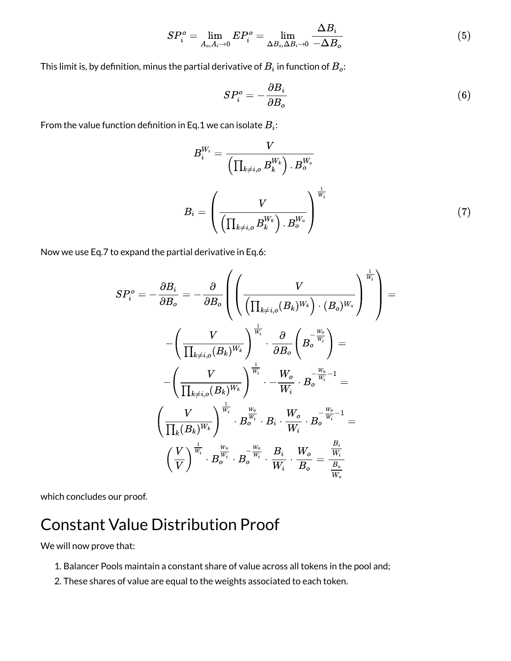$$
SP_i^o = \lim_{A_o, A_i \to 0} EP_i^o = \lim_{\Delta B_o, \Delta B_i \to 0} \frac{\Delta B_i}{-\Delta B_o}
$$
(5)

This limit is, by definition, minus the partial derivative of  $B_i$  in function of  $B_o\!\!$ :

$$
SP_i^o = -\frac{\partial B_i}{\partial B_o} \tag{6}
$$

From the value function definition in Eq.1 we can isolate  $B_i\!\! :$ 

$$
B_i^{W_i} = \frac{V}{\left(\prod_{k \neq i,o} B_k^{W_k}\right) \cdot B_o^{W_o}}
$$

$$
B_i = \left(\frac{V}{\left(\prod_{k \neq i,o} B_k^{W_k}\right) \cdot B_o^{W_o}}\right)^{\frac{1}{W_i}}
$$
(7)

Now we use Eq.7 to expand the partial derivative in Eq.6:

$$
SP_i^o = -\frac{\partial B_i}{\partial B_o} = -\frac{\partial}{\partial B_o} \left( \left( \frac{V}{\left( \prod_{k \neq i,o} (B_k)^{W_k} \right) \cdot (B_o)^{W_o}} \right)^{\frac{1}{W_i}} \right) = \\ -\left( \frac{V}{\prod_{k \neq i,o} (B_k)^{W_k}} \right)^{\frac{1}{W_i}} \cdot \frac{\partial}{\partial B_o} \left( B_o^{-\frac{W_o}{W_i}} \right) = \\ -\left( \frac{V}{\prod_{k \neq i,o} (B_k)^{W_k}} \right)^{\frac{1}{W_i}} \cdot - \frac{W_o}{W_i} \cdot B_o^{-\frac{W_o}{W_i} - 1} = \\ \left( \frac{V}{\prod_k (B_k)^{W_k}} \right)^{\frac{1}{W_i}} \cdot B_o^{\frac{W_o}{W_i}} \cdot B_i \cdot \frac{W_o}{W_i} \cdot B_o^{-\frac{W_o}{W_i} - 1} = \\ \left( \frac{V}{V} \right)^{\frac{1}{W_i}} \cdot B_o^{\frac{W_o}{W_i}} \cdot B_o^{-\frac{W_o}{W_i}} \cdot \frac{B_i}{W_i} \cdot \frac{W_o}{B_o} = \frac{\frac{B_i}{W_i}}{\frac{B_o}{W_o}} \\
$$

 $\lambda$ 

which concludes our proof.

### <span id="page-4-0"></span>Constant Value Distribution Proof

We will now prove that:

- 1. Balancer Pools maintain a constant share of value across all tokens in the pool and;
- 2. These shares of value are equal to the weights associated to each token.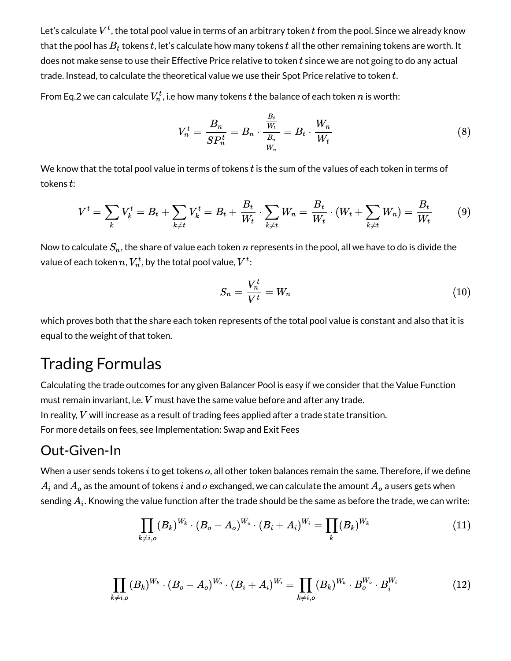Let's calculate  $V^t$ , the total pool value in terms of an arbitrary token  $t$  from the pool. Since we already know that the pool has  $B_t$  tokens  $t$ , let's calculate how many tokens  $t$  all the other remaining tokens are worth. It does not make sense to use their Effective Price relative to token  $t$  since we are not going to do any actual trade. Instead, to calculate the theoretical value we use their Spot Price relative to token  $t$ .

From Eq.2 we can calculate  $V_n^t$ , i.e how many tokens  $t$  the balance of each token  $n$  is worth:

$$
V_n^t = \frac{B_n}{SP_n^t} = B_n \cdot \frac{\frac{B_t}{W_t}}{\frac{B_n}{W_n}} = B_t \cdot \frac{W_n}{W_t}
$$
\n
$$
(8)
$$

We know that the total pool value in terms of tokens  $t$  is the sum of the values of each token in terms of tokens  $t$ :

$$
V^t = \sum_k V_k^t = B_t + \sum_{k \neq t} V_k^t = B_t + \frac{B_t}{W_t} \cdot \sum_{k \neq t} W_n = \frac{B_t}{W_t} \cdot (W_t + \sum_{k \neq t} W_n) = \frac{B_t}{W_t}
$$
(9)

Now to calculate  $S_n,$  the share of value each token  $n$  represents in the pool, all we have to do is divide the value of each token  $n, V_n^t$ , by the total pool value,  $V^t\colon$ 

$$
S_n = \frac{V_n^t}{V^t} = W_n \tag{10}
$$

which proves both that the share each token represents of the total pool value is constant and also that it is equal to the weight of that token.

#### <span id="page-5-0"></span>Trading Formulas

Calculating the trade outcomes for any given Balancer Pool is easy if we consider that the Value Function must remain invariant, i.e.  $V$  must have the same value before and after any trade. In reality,  $V$  will increase as a result of trading fees applied after a trade state transition. For more details on fees, see Implementation: Swap and Exit Fees

#### <span id="page-5-1"></span>Out-Given-In

When a user sends tokens  $i$  to get tokens  $o$ , all other token balances remain the same. Therefore, if we define  $A_i$  and  $A_o$  as the amount of tokens  $i$  and  $o$  exchanged, we can calculate the amount  $A_o$  a users gets when sending  $A_i.$  Knowing the value function after the trade should be the same as before the trade, we can write:

$$
\prod_{k \neq i,o} (B_k)^{W_k} \cdot (B_o - A_o)^{W_o} \cdot (B_i + A_i)^{W_i} = \prod_k (B_k)^{W_k} \tag{11}
$$

$$
\prod_{k\neq i,o}(B_k)^{W_k}\cdot (B_o-A_o)^{W_o}\cdot (B_i+A_i)^{W_i}=\prod_{k\neq i,o}(B_k)^{W_k}\cdot B_o^{W_o}\cdot B_i^{W_i} \qquad \qquad (12)
$$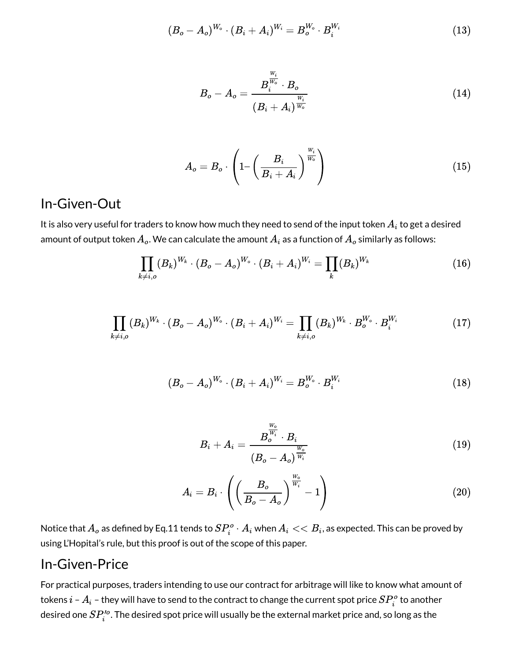$$
(B_o - A_o)^{W_o} \cdot (B_i + A_i)^{W_i} = B_o^{W_o} \cdot B_i^{W_i}
$$
\n(13)

$$
B_o - A_o = \frac{B_i^{\frac{W_i}{W_o}} \cdot B_o}{(B_i + A_i)^{\frac{W_i}{W_o}}}
$$
\n
$$
(14)
$$

$$
A_o = B_o \cdot \left( 1 - \left( \frac{B_i}{B_i + A_i} \right)^{\frac{W_i}{W_o}} \right) \tag{15}
$$

#### <span id="page-6-0"></span>In-Given-Out

It is also very useful for traders to know how much they need to send of the input token  $A_i$  to get a desired amount of output token  $A_o.$  We can calculate the amount  $A_i$  as a function of  $A_o$  similarly as follows:

$$
\prod_{k \neq i,o} (B_k)^{W_k} \cdot (B_o - A_o)^{W_o} \cdot (B_i + A_i)^{W_i} = \prod_k (B_k)^{W_k} \tag{16}
$$

$$
\prod_{k\neq i,o}(B_k)^{W_k}\cdot (B_o-A_o)^{W_o}\cdot (B_i+A_i)^{W_i}=\prod_{k\neq i,o}(B_k)^{W_k}\cdot B_o^{W_o}\cdot B_i^{W_i}
$$
(17)

$$
(B_o - A_o)^{W_o} \cdot (B_i + A_i)^{W_i} = B_o^{W_o} \cdot B_i^{W_i}
$$
 (18)

$$
B_i + A_i = \frac{B_o^{\frac{W_o}{W_i}} \cdot B_i}{(B_o - A_o)^{\frac{W_o}{W_i}}}
$$
\n
$$
(19)
$$

$$
A_i = B_i \cdot \left( \left( \frac{B_o}{B_o - A_o} \right)^{\frac{W_o}{W_i}} - 1 \right) \tag{20}
$$

Notice that  $A_o$  as defined by Eq.11 tends to  $SP^o_i\cdot A_i$  when  $A_i << B_i$ , as expected. This can be proved by using L'Hopital's rule, but this proof is out of the scope of this paper.  $\mathbf{P}^o_i \cdot A_i$  when  $A_i << B_i$ 

#### <span id="page-6-1"></span>In-Given-Price

For practical purposes, traders intending to use our contract for arbitrage will like to know what amount of tokens  $i$  –  $A_i$  – they will have to send to the contract to change the current spot price  $SP_i^o$  to another desired one  $SP_i^{\prime o}.$  The desired spot price will usually be the external market price and, so long as the i i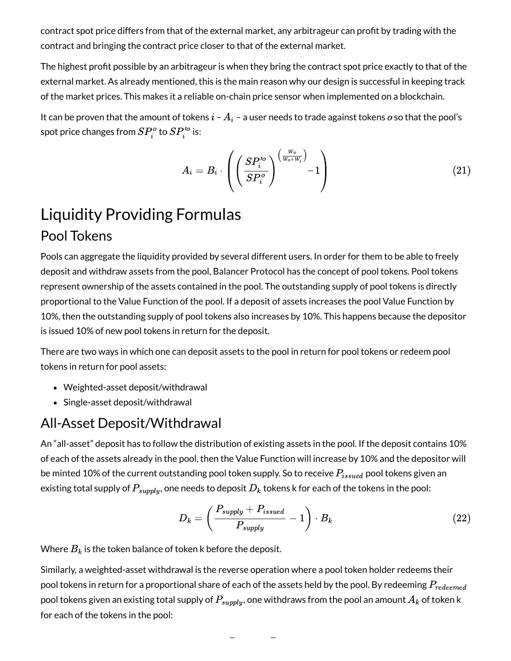contract spot price differs from that of the external market, any arbitrageur can profit by trading with the contract and bringing the contract price closer to that of the external market.

The highest profit possible by an arbitrageur is when they bring the contract spot price exactly to that of the external market. As already mentioned, this is the main reason why our design is successful in keeping track of the market prices. This makes it a reliable on-chain price sensor when implemented on a blockchain.

It can be proven that the amount of tokens  $i$  –  $A_i$  – a user needs to trade against tokens  $o$  so that the pool's spot price changes from  $SP_i^o$  to  $SP_i'^o$  is: i

$$
A_i=B_i\cdot\left(\left(\frac{SP_i'^o}{SP_i^o}\right)^{\left(\frac{W_o}{W_o+W_i}\right)}-1\right)\hspace{1.5cm}(21)
$$

### <span id="page-7-0"></span>Liquidity Providing Formulas Pool Tokens

Pools can aggregate the liquidity provided by several different users. In order for them to be able to freely deposit and withdraw assets from the pool, Balancer Protocol has the concept of pool tokens. Pool tokens represent ownership of the assets contained in the pool. The outstanding supply of pool tokens is directly proportional to the Value Function of the pool. If a deposit of assets increases the pool Value Function by 10%, then the outstanding supply of pool tokens also increases by 10%. This happens because the depositor is issued 10% of new pool tokens in return for the deposit.

There are two ways in which one can deposit assets to the pool in return for pool tokens or redeem pool tokens in return for pool assets:

- Weighted-asset deposit/withdrawal
- Single-asset deposit/withdrawal

#### All-Asset Deposit/Withdrawal

An "all-asset" deposit has to follow the distribution of existing assets in the pool. If the deposit contains 10% of each of the assets already in the pool, then the Value Function will increase by 10% and the depositor will be minted 10% of the current outstanding pool token supply. So to receive  $P_{issued}$  pool tokens given an existing total supply of  $P_{supply},$  one needs to deposit  $D_k$  tokens k for each of the tokens in the pool:

$$
D_k = \left(\frac{P_{supply} + P_{issued}}{P_{supply}} - 1\right) \cdot B_k \tag{22}
$$

Where  $B_k$  is the token balance of token k before the deposit.

Similarly, a weighted-asset withdrawal is the reverse operation where a pool token holder redeems their pool tokens in return for a proportional share of each of the assets held by the pool. By redeeming  $P_{redeemed}$ pool tokens given an existing total supply of  $P_{supply}$ , one withdraws from the pool an amount  $A_k$  of token k for each of the tokens in the pool: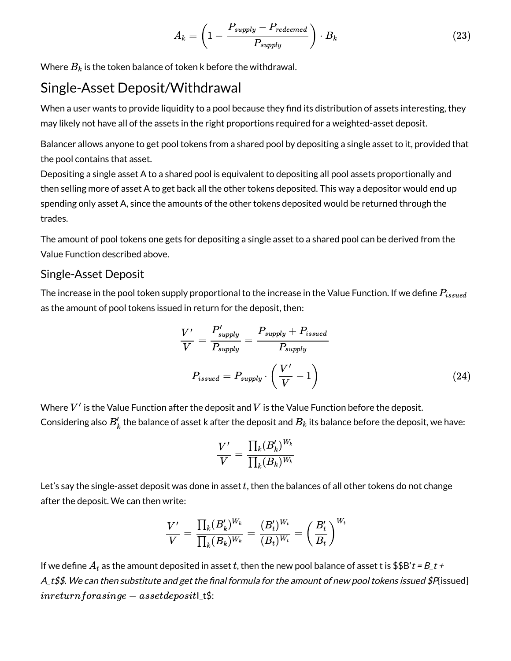$$
A_k = \left(1 - \frac{P_{supply} - P_{redeemed}}{P_{supply}}\right) \cdot B_k \tag{23}
$$

Where  $B_k$  is the token balance of token k before the withdrawal.

#### Single-Asset Deposit/Withdrawal

When a user wants to provide liquidity to a pool because they find its distribution of assets interesting, they may likely not have all of the assets in the right proportions required for a weighted-asset deposit.

Balancer allows anyone to get pool tokens from a shared pool by depositing a single asset to it, provided that the pool contains that asset.

Depositing a single asset A to a shared pool is equivalent to depositing all pool assets proportionally and then selling more of asset A to get back all the other tokens deposited. This way a depositor would end up spending only asset A, since the amounts of the other tokens deposited would be returned through the trades.

The amount of pool tokens one gets for depositing a single asset to a shared pool can be derived from the Value Function described above.

#### <span id="page-8-0"></span>Single-Asset Deposit

The increase in the pool token supply proportional to the increase in the Value Function. If we define  $P_{issued}$ as the amount of pool tokens issued in return for the deposit, then:

$$
\frac{V'}{V} = \frac{P'_{supply}}{P_{supply}} = \frac{P_{supply} + P_{issued}}{P_{supply}}
$$
  

$$
P_{issued} = P_{supply} \cdot \left(\frac{V'}{V} - 1\right)
$$
 (24)

Where  $V^\prime$  is the Value Function after the deposit and  $V$  is the Value Function before the deposit. Considering also  $B_k'$  the balance of asset k after the deposit and  $B_k$  its balance before the deposit, we have:

$$
\frac{V'}{V}=\frac{\prod_k (B'_k)^{W_k}}{\prod_k (B_k)^{W_k}}
$$

Let's say the single-asset deposit was done in asset  $t$ , then the balances of all other tokens do not change after the deposit. We can then write:

$$
\frac{V'}{V} = \frac{\prod_{k}(B'_k)^{W_k}}{\prod_{k}(B_k)^{W_k}} = \frac{(B'_t)^{W_t}}{(B_t)^{W_t}} = \left(\frac{B'_t}{B_t}\right)^{W_t}
$$

If we define  $A_t$  as the amount deposited in asset  $t$ , then the new pool balance of asset t is \$\$B' $t$  = B\_ $t$  + A\_t\$\$. We can then substitute and get the final formula for the amount of new pool tokens issued \$P{issued}  $\textit{inreturn} for a \textit{single} - a \textit{sset} \textit{deposit}$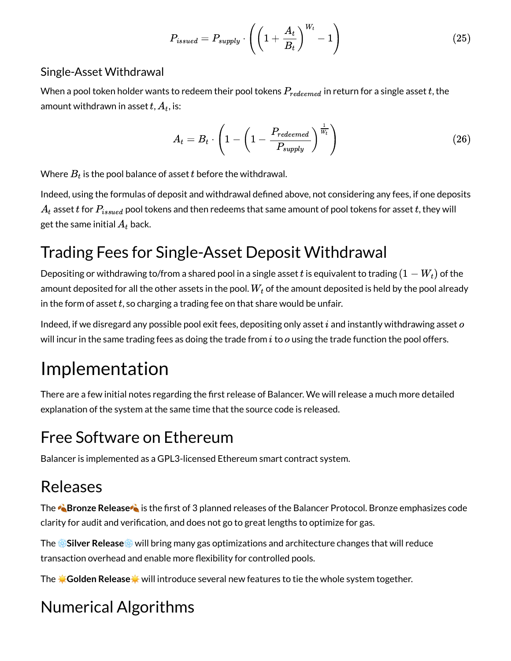$$
P_{issued} = P_{supply} \cdot \left( \left( 1 + \frac{A_t}{B_t} \right)^{W_t} - 1 \right) \tag{25}
$$

#### <span id="page-9-0"></span>Single-Asset Withdrawal

When a pool token holder wants to redeem their pool tokens  $P_{redeemed}$  in return for a single asset  $t$ , the amount withdrawn in asset  $t$ ,  $A_t$ , is:

$$
A_t = B_t \cdot \left(1 - \left(1 - \frac{P_{redeemed}}{P_{supply}}\right)^{\frac{1}{W_t}}\right)
$$
 (26)

Where  $B_t$  is the pool balance of asset  $t$  before the withdrawal.

Indeed, using the formulas of deposit and withdrawal defined above, not considering any fees, if one deposits  $A_t$  asset  $t$  for  $P_{issued}$  pool tokens and then redeems that same amount of pool tokens for asset  $t$ , they will get the same initial  $A_t$  back.

### Trading Fees for Single-Asset Deposit Withdrawal

Depositing or withdrawing to/from a shared pool in a single asset  $t$  is equivalent to trading  $(1-W_t)$  of the amount deposited for all the other assets in the pool.  $W_t$  of the amount deposited is held by the pool already in the form of asset  $t$ , so charging a trading fee on that share would be unfair.

Indeed, if we disregard any possible pool exit fees, depositing only asset  $i$  and instantly withdrawing asset  $o$ will incur in the same trading fees as doing the trade from  $i$  to  $o$  using the trade function the pool offers.

# <span id="page-9-1"></span>Implementation

There are a few initial notes regarding the first release of Balancer. We will release a much more detailed explanation of the system at the same time that the source code is released.

### <span id="page-9-2"></span>Free Software on Ethereum

Balancer is implemented as a GPL3-licensed Ethereum smart contract system.

### <span id="page-9-3"></span>Releases

The **Bronze Release** is the first of 3 planned releases of the Balancer Protocol. Bronze emphasizes code clarity for audit and verification, and does not go to great lengths to optimize for gas.

The ❄**Silver Release**❄ will bring many gas optimizations and architecture changes that will reduce transaction overhead and enable more flexibility for controlled pools.

The ☀ **Golden Release**☀ will introduce several new features to tie the whole system together.

## <span id="page-9-4"></span>Numerical Algorithms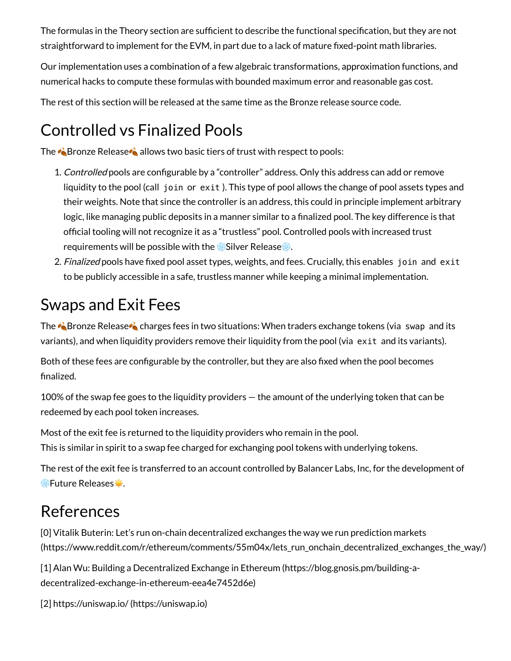The formulas in the Theory section are sufficient to describe the functional specification, but they are not straightforward to implement for the EVM, in part due to a lack of mature fixed-point math libraries.

Our implementation uses a combination of a few algebraic transformations, approximation functions, and numerical hacks to compute these formulas with bounded maximum error and reasonable gas cost.

The rest of this section will be released at the same time as the Bronze release source code.

### <span id="page-10-0"></span>Controlled vs Finalized Pools

The **Bronze Release A** allows two basic tiers of trust with respect to pools:

- 1. Controlled pools are configurable by a "controller" address. Only this address can add or remove liquidity to the pool (call join or exit ). This type of pool allows the change of pool assets types and their weights. Note that since the controller is an address, this could in principle implement arbitrary logic, like managing public deposits in a manner similar to a finalized pool. The key difference is that official tooling will not recognize it as a "trustless" pool. Controlled pools with increased trust requirements will be possible with the *x*Silver Release **\***.
- 2. Finalized pools have fixed pool asset types, weights, and fees. Crucially, this enables join and exit to be publicly accessible in a safe, trustless manner while keeping a minimal implementation.

#### Swaps and Exit Fees

The **Bronze Release C** charges fees in two situations: When traders exchange tokens (via swap and its variants), and when liquidity providers remove their liquidity from the pool (via exit and its variants).

Both of these fees are configurable by the controller, but they are also fixed when the pool becomes nalized.

100% of the swap fee goes to the liquidity providers — the amount of the underlying token that can be redeemed by each pool token increases.

Most of the exit fee is returned to the liquidity providers who remain in the pool. This is similar in spirit to a swap fee charged for exchanging pool tokens with underlying tokens.

The rest of the exit fee is transferred to an account controlled by Balancer Labs, Inc, for the development of **※Future Releases ☀.** 

#### <span id="page-10-1"></span>References

[0] Vitalik Buterin: Let's run on-chain decentralized exchanges the way we run prediction markets [\(https://www.reddit.com/r/ethereum/comments/55m04x/lets\\_run\\_onchain\\_decentralized\\_exchanges\\_the\\_way/\)](https://www.reddit.com/r/ethereum/comments/55m04x/lets_run_onchain_decentralized_exchanges_the_way/)

[1] Alan Wu: Building a Decentralized Exchange in Ethereum (https://blog.gnosis.pm/building-a[decentralized-exchange-in-ethereum-eea4e7452d6e\)](https://blog.gnosis.pm/building-a-decentralized-exchange-in-ethereum-eea4e7452d6e)

[2] https://uniswap.io/ [\(https://uniswap.io\)](https://uniswap.io/)